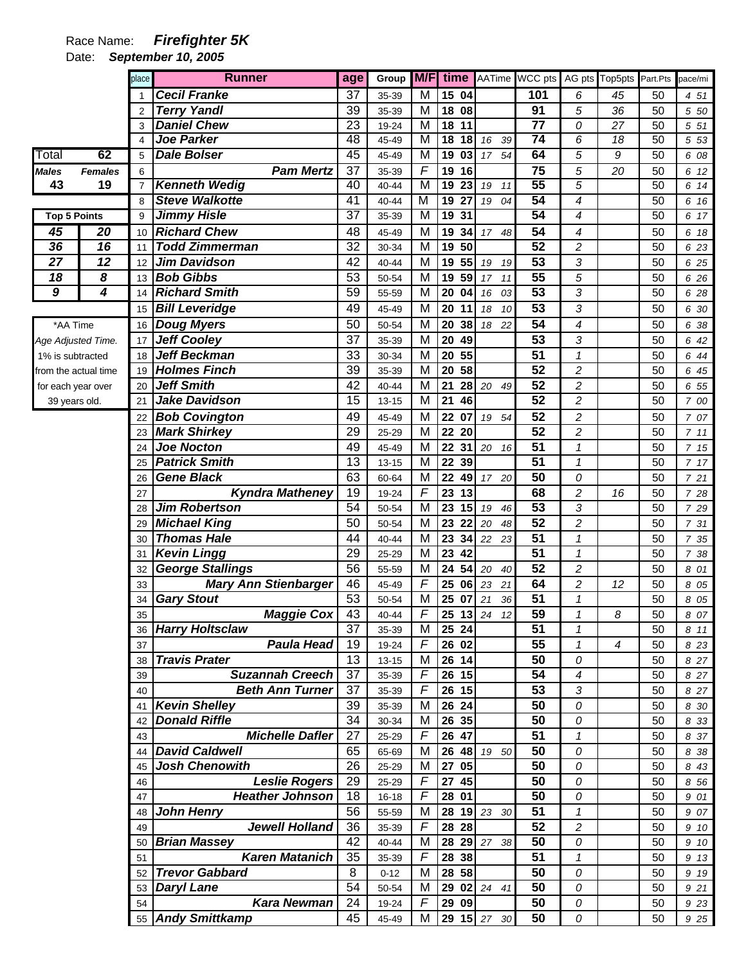## Race Name: *Firefighter 5K*

Date: *September 10, 2005* 

|                      |                         | place          | <b>Runner</b>                                  | age             | Group          | M/F                          | time                                               |                      | AATime WCC pts        |                          | AG pts Top5pts | Part.Pts | pace/mi      |
|----------------------|-------------------------|----------------|------------------------------------------------|-----------------|----------------|------------------------------|----------------------------------------------------|----------------------|-----------------------|--------------------------|----------------|----------|--------------|
|                      |                         |                | <b>Cecil Franke</b>                            | 37              | 35-39          | M                            | 15 04                                              |                      | 101                   | 6                        | 45             | 50       | 4 51         |
|                      |                         | 2              | <b>Terry Yandl</b>                             | 39              | 35-39          | Μ                            | 18 08                                              |                      | 91                    | 5                        | 36             | 50       | 5 50         |
|                      |                         | 3              | <b>Daniel Chew</b>                             | 23              | 19-24          | M                            | 18<br>11                                           |                      | 77                    | 0                        | 27             | 50       | 5 51         |
|                      |                         | 4              | <b>Joe Parker</b>                              | 48              | 45-49          | M                            | 18<br>18                                           | 16<br>39             | $\overline{74}$       | 6                        | 18             | 50       | 5 53         |
| Total                | 62                      | 5              | <b>Dale Bolser</b>                             | 45              | 45-49          | M                            | 19<br>$\overline{\overline{\mathbf{0}}\mathbf{3}}$ | 54<br>17             | 64                    | $\overline{5}$           | $\overline{g}$ | 50       | 6 08         |
| <b>Males</b>         | <b>Females</b>          | 6              | <b>Pam Mertz</b>                               | 37              | 35-39          | $\overline{\mathsf{F}}$      | 19<br>16                                           |                      | $\overline{75}$       | 5                        | 20             | 50       | 6 12         |
| 43                   | 19                      | $\overline{7}$ | <b>Kenneth Wedig</b>                           | 40              | 40-44          | $\overline{\mathsf{M}}$      | $\overline{19}$<br>$\overline{23}$                 | 19<br>11             | 55                    | $\overline{5}$           |                | 50       | 6 14         |
|                      |                         | 8              | <b>Steve Walkotte</b>                          | $\overline{41}$ | 40-44          | $\overline{\mathsf{M}}$      | $\overline{27}$<br>19                              | 19<br>04             | 54                    | 4                        |                | 50       | 6 16         |
| <b>Top 5 Points</b>  |                         | 9              | <b>Jimmy Hisle</b>                             | 37              | 35-39          | M                            | 19<br>31                                           |                      | 54                    | 4                        |                | 50       | 6 17         |
| 45                   | $\overline{20}$         | 10             | <b>Richard Chew</b>                            | 48              | 45-49          | M                            | 19<br>34                                           | 17 48                | 54                    | 4                        |                | 50       | 6 18         |
| 36                   | 16                      | 11             | <b>Todd Zimmerman</b>                          | 32              | 30-34          | M                            | 50<br>19                                           |                      | $\overline{52}$       | 2                        |                | 50       | 6 23         |
| 27                   | 12                      | 12             | <b>Jim Davidson</b>                            | $\overline{42}$ | 40-44          | M                            | 55<br>19                                           | 19<br>19             | $\overline{53}$       | 3                        |                | 50       | 6 25         |
| 18                   | 8                       | 13             | <b>Bob Gibbs</b>                               | 53              | 50-54          | M                            | 59<br>19                                           | 17<br>11             | 55                    | 5                        |                | 50       | 6 26         |
| $\boldsymbol{9}$     | $\overline{\mathbf{4}}$ | 14             | <b>Richard Smith</b>                           | 59              | 55-59          | Μ                            | 20<br>04                                           | 16<br>03             | $\overline{53}$       | 3                        |                | 50       | 6 28         |
|                      |                         | 15             | <b>Bill Leveridge</b>                          | 49              | 45-49          | M                            | 20<br>11                                           | 18<br>10             | $\overline{53}$       | 3                        |                | 50       | 6 30         |
| *AA Time             |                         | 16             | <b>Doug Myers</b>                              | 50              | 50-54          | M                            | 20<br>38                                           | 18 22                | $\overline{54}$       | $\overline{\mathcal{A}}$ |                | 50       | 6 38         |
| Age Adjusted Time.   |                         | 17             | <b>Jeff Cooley</b>                             | 37              | 35-39          | M                            | 20<br>49                                           |                      | 53                    | 3                        |                | 50       | 6 42         |
| 1% is subtracted     |                         | 18             | <b>Jeff Beckman</b>                            | 33              | 30-34          | М                            | 20<br>55                                           |                      | $\overline{51}$       | $\mathcal I$             |                | 50       | 6 44         |
| from the actual time |                         | 19             | <b>Holmes Finch</b>                            | 39              | 35-39          | M                            | 58<br>20                                           |                      | $\overline{52}$       | $\overline{c}$           |                | 50       | 6 45         |
| for each year over   |                         | 20             | <b>Jeff Smith</b>                              | 42              | 40-44          | M                            | 21<br>28                                           | 20 49                | $\overline{52}$       | $\overline{\mathbf{c}}$  |                | 50       | 6 55         |
| 39 years old.        |                         | 21             | Jake Davidson                                  | 15              | $13 - 15$      | M                            | 21<br>46                                           |                      | 52                    | $\overline{c}$           |                | 50       | 7 00         |
|                      |                         | 22             | <b>Bob Covington</b>                           | 49              | 45-49          | Μ                            | 22<br>07                                           | 19 54                | 52                    | $\overline{c}$           |                | 50       | 7 07         |
|                      |                         | 23             | <b>Mark Shirkey</b>                            | 29              | 25-29          | M                            | 22<br>20                                           |                      | 52                    | $\overline{c}$           |                | 50       | 711          |
|                      |                         | 24             | <b>Joe Nocton</b>                              | 49              | 45-49          | M                            | 22<br>31                                           | 20 16                | 51                    | 1                        |                | 50       | 7 15         |
|                      |                         | 25             | <b>Patrick Smith</b>                           | 13              | $13 - 15$      | M                            | 22<br>39                                           |                      | $\overline{51}$<br>50 | 1                        |                | 50       | 7 17         |
|                      |                         | 26             | <b>Gene Black</b>                              | 63              | 60-64          | M<br>$\overline{\mathsf{F}}$ | 22<br>49                                           | 17 20                |                       | 0                        |                | 50       | 7 21         |
|                      |                         | 27             | <b>Kyndra Matheney</b><br><b>Jim Robertson</b> | 19<br>54        | 19-24          | M                            | 23<br>13<br>23<br>15                               |                      | 68<br>$\overline{53}$ | $\overline{c}$<br>3      | 16             | 50<br>50 | 7 28         |
|                      |                         | 28<br>29       | <b>Michael King</b>                            | 50              | 50-54<br>50-54 | M                            | 23<br>22                                           | 19<br>46<br>20<br>48 | 52                    | $\overline{c}$           |                | 50       | 7 29<br>7 31 |
|                      |                         | 30             | <b>Thomas Hale</b>                             | 44              | 40-44          | M                            | 23<br>34                                           | 22<br>23             | $\overline{51}$       | $\mathbf{1}$             |                | 50       | 7 35         |
|                      |                         | 31             | <b>Kevin Lingg</b>                             | 29              | 25-29          | M                            | 23<br>42                                           |                      | $\overline{51}$       | 1                        |                | 50       | 7 38         |
|                      |                         | 32             | <b>George Stallings</b>                        | 56              | 55-59          | M                            | 54<br>24                                           | 20<br>40             | $\overline{52}$       | $\overline{\mathbf{c}}$  |                | 50       | 8 01         |
|                      |                         | 33             | <b>Mary Ann Stienbarger</b>                    | 46              | 45-49          | $\overline{F}$               | 25<br>06                                           | 23<br>21             | 64                    | $\overline{c}$           | 12             | 50       | 8 0 5        |
|                      |                         | 34             | <b>Gary Stout</b>                              | 53              | 50-54          | M                            | 25<br>07                                           | 21<br>36             | 51                    | 1                        |                | 50       | 8 0 5        |
|                      |                         | 35             | <b>Maggie Cox</b>                              | 43              | 40-44          | $\overline{F}$               | 25                                                 | $13 \ 24$<br>12      | 59                    | 1                        | 8              | 50       | 8 07         |
|                      |                         | 36             | <b>Harry Holtsclaw</b>                         | 37              | 35-39          | M                            | 25 24                                              |                      | 51                    | $\mathcal I$             |                | 50       | 8 11         |
|                      |                         | 37             | <b>Paula Head</b>                              | 19              | 19-24          | F                            | 26 02                                              |                      | 55                    | $\mathcal I$             | 4              | 50       | 8 2 3        |
|                      |                         | 38             | <b>Travis Prater</b>                           | 13              | $13 - 15$      | M                            | 26 14                                              |                      | 50                    | 0                        |                | 50       | 8 27         |
|                      |                         | 39             | <b>Suzannah Creech</b>                         | 37              | 35-39          | $\overline{F}$               | $\overline{26}$ 15                                 |                      | 54                    | $\overline{\mathcal{A}}$ |                | 50       | 8 27         |
|                      |                         | 40             | <b>Beth Ann Turner</b>                         | 37              | 35-39          | $\overline{F}$               | 26 15                                              |                      | 53                    | 3                        |                | 50       | 8 27         |
|                      |                         | 41             | <b>Kevin Shelley</b>                           | 39              | 35-39          | M                            | 26 24                                              |                      | 50                    | 0                        |                | 50       | 8 30         |
|                      |                         | 42             | <b>Donald Riffle</b>                           | 34              | 30-34          | M                            | 26 35                                              |                      | 50                    | 0                        |                | 50       | 8 3 3        |
|                      |                         | 43             | <b>Michelle Dafler</b>                         | 27              | 25-29          | F                            | 26 47                                              |                      | 51                    | $\mathcal I$             |                | 50       | 8 37         |
|                      |                         | 44             | <b>David Caldwell</b>                          | 65              | 65-69          | M                            |                                                    | 26 48 19 50          | 50                    | 0                        |                | 50       | 8 38         |
|                      |                         | 45             | <b>Josh Chenowith</b>                          | 26              | 25-29          | Μ                            | 05<br>27                                           |                      | 50                    | 0                        |                | 50       | 8 4 3        |
|                      |                         | 46             | <b>Leslie Rogers</b>                           | 29              | 25-29          | F                            | 27<br>45                                           |                      | 50                    | 0                        |                | 50       | 8 56         |
|                      |                         | 47             | <b>Heather Johnson</b>                         | 18              | 16-18          | F                            | 28 01                                              |                      | 50                    | 0                        |                | 50       | 9 01         |
|                      |                         | 48             | <b>John Henry</b>                              | 56              | 55-59          | M                            | 28                                                 | 19 23 30             | 51                    | 1                        |                | 50       | 9 07         |
|                      |                         | 49             | <b>Jewell Holland</b>                          | 36              | 35-39          | F                            | 28 28                                              |                      | 52                    | $\overline{c}$           |                | 50       | 9 10         |
|                      |                         | 50             | <b>Brian Massey</b>                            | 42              | 40-44          | M                            | 28                                                 | 29 27 38             | 50                    | 0                        |                | 50       | 9 10         |
|                      |                         | 51             | <b>Karen Matanich</b>                          | 35              | 35-39          | $\overline{F}$               | 28 38                                              |                      | 51                    | $\mathbf{1}$             |                | 50       | 9 13         |
|                      |                         | 52             | <b>Trevor Gabbard</b>                          | $\, 8$          | $0 - 12$       | M                            | 28 58                                              |                      | 50                    | 0                        |                | 50       | 9 19         |
|                      |                         | 53             | <b>Daryl Lane</b>                              | 54              | 50-54          | М                            | 29                                                 | 02 24 41             | 50                    | 0                        |                | 50       | 9 21         |
|                      |                         | 54             | <b>Kara Newman</b>                             | 24              | 19-24          | F                            | 29 09                                              |                      | 50                    | 0                        |                | 50       | 9 23         |
|                      |                         |                | 55 Andy Smittkamp                              | 45              | 45-49          | М                            |                                                    | 29 15 27 30          | 50                    | ${\cal O}$               |                | 50       | 9 25         |